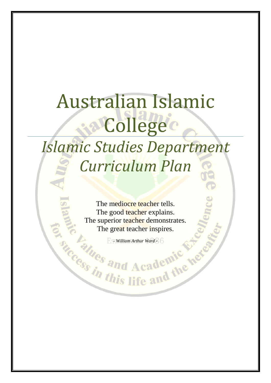# Australian Islamic Collegec *Islamic Studies Department Curriculum Plan*

The mediocre teacher tells. The good teacher explains. The superior teacher demonstrates. The great teacher inspires.

*- William Arthur Ward -*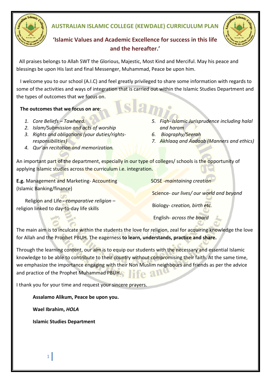

## **AUSTRALIAN ISLAMIC COLLEGE (KEWDALE) CURRICULUM PLAN**



# **'Islamic Values and Academic Excellence for success in this life and the hereafter.'**

All praises belongs to Allah SWT the Glorious, Majestic, Most Kind and Merciful. May his peace and blessings be upon His last and final Messenger, Muhammad, Peace be upon him.

I welcome you to our school (A.I.C) and feel greatly privileged to share some information with regards to some of the activities and ways of integration that is carried out within the Islamic Studies Department and the types of outcomes that we focus on.

#### **The outcomes that we focus on are**:

- *1. Core Beliefs Tawheed.*
- *2. Islam/Submission and acts of worship*
- *3. Rights and obligations (your duties/rightsresponsibilities)*
- *4. Qur'an recitation and memorization.*
- *5. Fiqh- Islamic Jurisprudence including halal and haram*
- *6. Biography/Seerah*
- *7. Akhlaaq and Aadaab (Manners and ethics)*

An important part of the department, especially in our type of colleges/ schools is the opportunity of applying Islamic studies across the curriculum *i.e.* integration.

**E.g.** Management and Marketing- Accounting (Islamic Banking/finance)

SOSE -*maintaining creation*

Science- *our lives/ our world and beyond*

Religion and Life - *comparative religion* – religion linked to day-to-day life skills

Biology- *creation, birth etc.*

English- *across the board*

The main aim is to inculcate within the students the love for religion, zeal for acquiring knowledge the love for Allah and the Prophet PBUH. The eagerness **to learn, understands, practice and share.**

Through the learning content, our aim is to equip our students with the necessary and essential Islamic knowledge to be able to contribute to their country without compromising their faith. At the same time, we emphasize the importance engaging with their Non Muslim neighbours and friends as per the advice and practice of the Prophet Muhammad PBUH.  $\Omega$ 

I thank you for your time and request your sincere prayers.

**Assalamo Alikum, Peace be upon you.**

**Wael Ibrahim,** *HOLA*

**Islamic Studies Department**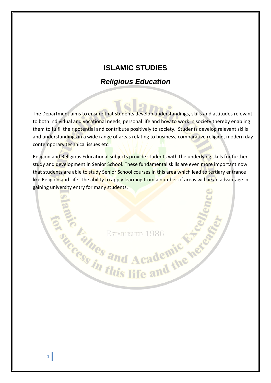# **ISLAMIC STUDIES**

# *Religious Education*

The Department aims to ensure that students develop understandings, skills and attitudes relevant to both individual and vocational needs, personal life and how to work in society thereby enabling them to fulfil their potential and contribute positively to society. Students develop relevant skills and understandings in a wide range of areas relating to business, comparative religion, modern day contemporary technical issues etc.

Religion and Religious Educational subjects provide students with the underlying skills for further study and development in Senior School. These fundamental skills are even more important now that students are able to study Senior School courses in this area which lead to tertiary entrance like Religion and Life. The ability to apply learning from a number of areas will be an advantage in gaining university entry for many students.

**Example 1986**<br>Canal ESTABLISHED 1986<br>Construes and Academic Neter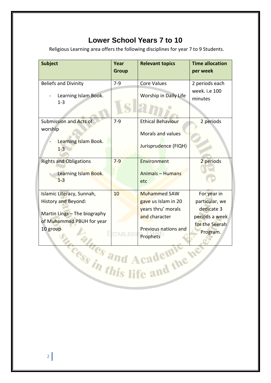# **Lower School Years 7 to 10**

Religious Learning area offers the following disciplines for year 7 to 9 Students.

| <b>Subject</b>                                                                                                            | Year<br><b>Group</b> | <b>Relevant topics</b>                                                                                                | <b>Time allocation</b><br>per week                                                          |
|---------------------------------------------------------------------------------------------------------------------------|----------------------|-----------------------------------------------------------------------------------------------------------------------|---------------------------------------------------------------------------------------------|
| <b>Beliefs and Divinity</b><br>Learning Islam Book.<br>$1 - 3$                                                            | $7-9$                | <b>Core Values</b><br>Worship in Daily Life                                                                           | 2 periods each<br>week. i.e 100<br>minutes                                                  |
| Submission and Acts of<br>worship<br>Learning Islam Book.<br>$1-3$                                                        | $7-9$                | <b>Ethical Behaviour</b><br>Morals and values<br>Jurisprudence (FIQH)                                                 | 2 periods                                                                                   |
| <b>Rights and Obligations</b><br>Learning Islam Book.<br>$1 - 3$                                                          | $7 - 9$              | Environment<br><b>Animals - Humans</b><br>etc                                                                         | 2 periods                                                                                   |
| Islamic Literacy, Sunnah,<br>History and Beyond:<br>Martin Lings - The biography<br>of Muhammad PBUH for year<br>10 group | 10                   | <b>Muhammed SAW</b><br>gave us Islam in 20<br>years thru' morals<br>and character<br>Previous nations and<br>Prophets | For year in<br>particular, we<br>dedicate 3<br>periods a week<br>for the Seerah<br>Program. |

cess and Academic net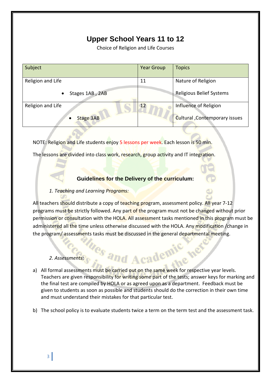# **Upper School Years 11 to 12**

Choice of Religion and Life Courses

| Subject                      | <b>Year Group</b> | <b>Topics</b>                   |
|------------------------------|-------------------|---------------------------------|
| Religion and Life            | 11                | Nature of Religion              |
| Stages 1AB, 2AB<br>$\bullet$ |                   | <b>Religious Belief Systems</b> |
| Religion and Life            | <b>12</b>         | Influence of Religion           |
| <b>Stage 3AB</b>             |                   | Cultural, Contemporary issues   |

NOTE: Religion and Life students enjoy 5 lessons per week. Each lesson is 50 min.

The lessons are divided into class work, research, group activity and IT integration.

#### **Guidelines for the Delivery of the curriculum:**

#### *1. Teaching and Learning Programs:*

All teachers should distribute a copy of teaching program, assessment policy. All year 7-12 programs must be strictly followed. Any part of the program must not be changed without prior permission or consultation with the HOLA. All assessment tasks mentioned in this program must be administered all the time unless otherwise discussed with the HOLA. Any modification / change in the program/assessments tasks must be discussed in the general departmental meeting.

#### *2. Assessments:*

a) All formal assessments must be carried out on the same week for respective year levels. Teachers are given responsibility for writing some part of the tests; answer keys for marking and the final test are compiled by HOLA or as agreed upon as a department. Feedback must be given to students as soon as possible and students should do the correction in their own time and must understand their mistakes for that particular test.

*ues and Academic* 

b) The school policy is to evaluate students twice a term on the term test and the assessment task.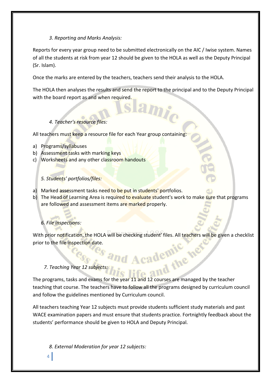#### *3. Reporting and Marks Analysis:*

Reports for every year group need to be submitted electronically on the AIC / Iwise system. Names of all the students at risk from year 12 should be given to the HOLA as well as the Deputy Principal (Sr. Islam).

Once the marks are entered by the teachers, teachers send their analysis to the HOLA.

The HOLA then analyses the results and send the report to the principal and to the Deputy Principal with the board report as and when required.

#### *4. Teacher's resource files:*

All teachers must keep a resource file for each Year group containing:

- a) Programs/syllabuses
- b) Assessment tasks with marking keys
- c) Worksheets and any other classroom handouts

#### *5. Students' portfolios/files:*

- a) Marked assessment tasks need to be put in students' portfolios.
- b) The Head of Learning Area is required to evaluate student's work to make sure that programs are followed and assessment items are marked properly.

#### *6. File inspections:*

With prior notification, the HOLA will be checking student' files. All teachers will be given a checklist prior to the file inspection date.

*POGG* **Sand Academic W**<br>7. Teaching Year 12 subjects: this life and the The programs, tasks and exams for the year 11 and 12 courses are managed by the teacher teaching that course. The teachers have to follow all the programs designed by curriculum council and follow the guidelines mentioned by Curriculum council.

All teachers teaching Year 12 subjects must provide students sufficient study materials and past WACE examination papers and must ensure that students practice. Fortnightly feedback about the students' performance should be given to HOLA and Deputy Principal.

*8. External Moderation for year 12 subjects:*

4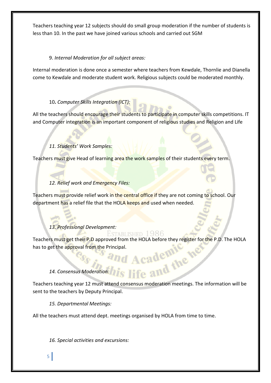Teachers teaching year 12 subjects should do small group moderation if the number of students is less than 10. In the past we have joined various schools and carried out SGM

#### 9. *Internal Moderation for all subject areas:*

Internal moderation is done once a semester where teachers from Kewdale, Thornlie and Dianella come to Kewdale and moderate student work. Religious subjects could be moderated monthly.

#### 10**.** *Computer Skills Integration (ICT):*

All the teachers should encourage their students to participate in computer skills competitions. IT and Computer integration is an important component of religious studies and Religion and Life

#### *11. Students' Work Samples:*

Teachers must give Head of learning area the work samples of their students every term.

### *12. Relief work and Emergency Files:*

Teachers must provide relief work in the central office if they are not coming to school. Our department has a relief file that the HOLA keeps and used when needed.

### *13. Professional Development:*

#### Established 1986

Teachers must get their P.D approved from the HOLA before they register for the P.D. The HOLA has to get the approval from the Principal. **14. Consensus Moderation: his life and the header of the mean of the mean of the mean of the mean of the mean of the mean of the mean of the mean of the mean of the mean of the and the mean of the mean of the mean of the** 

Teachers teaching year 12 must attend consensus moderation meetings. The information will be sent to the teachers by Deputy Principal.

*15. Departmental Meetings:*

All the teachers must attend dept. meetings organised by HOLA from time to time.

*16. Special activities and excursions:*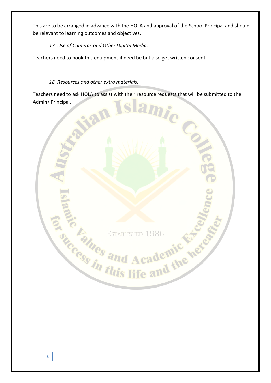This are to be arranged in advance with the HOLA and approval of the School Principal and should be relevant to learning outcomes and objectives.

*17. Use of Cameras and Other Digital Media:*

Teachers need to book this equipment if need be but also get written consent.

*18. Resources and other extra materials:*

Teachers need to ask HOLA to assist with their resource requests that will be submitted to the Admin/ Principal.

C

Britaines and Academic News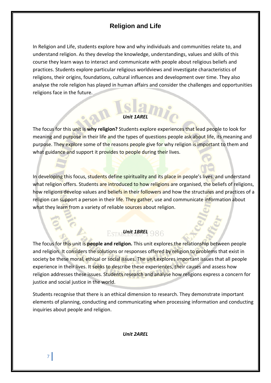## **Religion and Life**

In Religion and Life, students explore how and why individuals and communities relate to, and understand religion. As they develop the knowledge, understandings, values and skills of this course they learn ways to interact and communicate with people about religious beliefs and practices. Students explore particular religious worldviews and investigate characteristics of religions, their origins, foundations, cultural influences and development over time. They also analyse the role religion has played in human affairs and consider the challenges and opportunities religions face in the future.

#### *Unit 1AREL*

The focus for this unit is **why religion?** Students explore experiences that lead people to look for meaning and purpose in their life and the types of questions people ask about life, its meaning and purpose. They explore some of the reasons people give for why religion is important to them and what guidance and support it provides to people during their lives.

In developing this focus, students define spirituality and its place in people's lives, and understand what religion offers. Students are introduced to how religions are organised, the beliefs of religions, how religions develop values and beliefs in their followers and how the structures and practices of a religion can support a person in their life. They gather, use and communicate information about what they learn from a variety of reliable sources about religion.

### *<u>Esta Unit 1BREL</u>* 986

The focus for this unit is **people and religion.** This unit explores the relationship between people and religion. It considers the solutions or responses offered by religion to problems that exist in society be these moral, ethical or social issues. The unit explores important issues that all people experience in their lives. It seeks to describe these experiences, their causes and assess how religion addresses these issues. Students research and analyse how religions express a concern for justice and social justice in the world.

Students recognise that there is an ethical dimension to research. They demonstrate important elements of planning, conducting and communicating when processing information and conducting inquiries about people and religion.

*Unit 2AREL*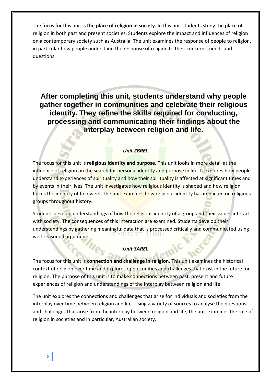The focus for this unit is **the place of religion in society.** In this unit students study the place of religion in both past and present societies. Students explore the impact and influences of religion on a contemporary society such as Australia. The unit examines the response of people to religion, in particular how people understand the response of religion to their concerns, needs and questions.

**After completing this unit, students understand why people gather together in communities and celebrate their religious identity. They refine the skills required for conducting, processing and communicating their findings about the interplay between religion and life.**

#### *Unit 2BREL*

The focus for this unit is **religious identity and purpose.** This unit looks in more detail at the influence of religion on the search for personal identity and purpose in life. It explores how people understand experiences of spirituality and how their spirituality is affected at significant times and by events in their lives. The unit investigates how religious identity is shaped and how religion forms the identity of followers. The unit examines how religious identity has impacted on religious groups throughout history.

Students develop understandings of how the religious identity of a group and their values interact with society. The consequences of this interaction are examined. Students develop their understandings by gathering meaningful data that is processed critically and communicated using Established 1900 well-reasoned arguments.

#### *Unit 3AREL*

The focus for this unit is **connection and challenge in religion.** This unit examines the historical context of religion over time and explores opportunities and challenges that exist in the future for religion. The purpose of this unit is to make connections between past, present and future experiences of religion and understandings of the interplay between religion and life.

The unit explores the connections and challenges that arise for individuals and societies from the interplay over time between religion and life. Using a variety of sources to analyse the questions and challenges that arise from the interplay between religion and life, the unit examines the role of religion in societies and in particular, Australian society.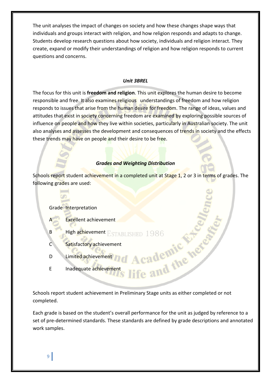The unit analyses the impact of changes on society and how these changes shape ways that individuals and groups interact with religion, and how religion responds and adapts to change. Students develop research questions about how society, individuals and religion interact. They create, expand or modify their understandings of religion and how religion responds to current questions and concerns.

#### *Unit 3BREL*

The focus for this unit is **freedom and religion**. This unit explores the human desire to become responsible and free. It also examines religious understandings of freedom and how religion responds to issues that arise from the human desire for freedom. The range of ideas, values and attitudes that exist in society concerning freedom are examined by exploring possible sources of influence on people and how they live within societies, particularly in Australian society. The unit also analyses and assesses the development and consequences of trends in society and the effects these trends may have on people and their desire to be free.

#### *Grades and Weighting Distribution*

Schools report student achievement in a completed unit at Stage 1, 2 or 3 in terms of grades. The following grades are used:

#### Grade Interpretation

- Excellent achievement
- B High achievement ESTABLISHED 1986
- C Satisfactory achievement
- D Limited achievement
- E Inadequate achievement

Schools report student achievement in Preliminary Stage units as either completed or not completed.

Each grade is based on the student's overall performance for the unit as judged by reference to a set of pre-determined standards. These standards are defined by grade descriptions and annotated work samples.